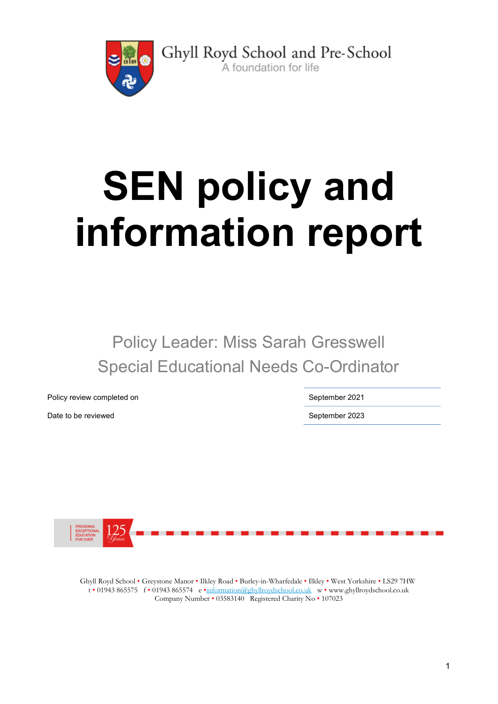

Ghyll Royd School and Pre-School A foundation for life

SEN policy and information report

Policy Leader: Miss Sarah Gresswell Special Educational Needs Co-Ordinator

Policy review completed on September 2021

Date to be reviewed **September 2023** 



Ghyll Royd School • Greystone Manor • Ilkley Road • Burley-in-Wharfedale • Ilkley • West Yorkshire • LS29 7HW t • 01943 865575 f • 01943 865574 e •information@ghyllroydschool.co.uk w • www.ghyllroydschool.co.uk Company Number • 03583140 Registered Charity No • 107023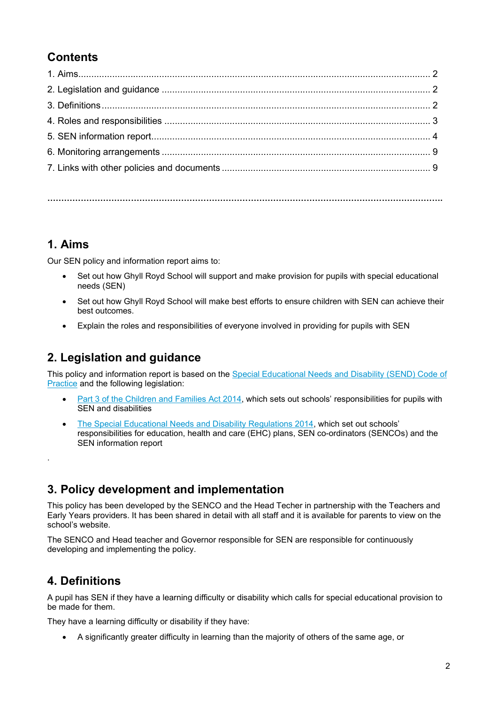# **Contents**

…………………………………………………………………………………………………………………………….

# 1. Aims

Our SEN policy and information report aims to:

- Set out how Ghyll Royd School will support and make provision for pupils with special educational needs (SEN)
- Set out how Ghyll Royd School will make best efforts to ensure children with SEN can achieve their best outcomes.
- Explain the roles and responsibilities of everyone involved in providing for pupils with SEN

# 2. Legislation and guidance

This policy and information report is based on the Special Educational Needs and Disability (SEND) Code of Practice and the following legislation:

- Part 3 of the Children and Families Act 2014, which sets out schools' responsibilities for pupils with SEN and disabilities
- The Special Educational Needs and Disability Regulations 2014, which set out schools' responsibilities for education, health and care (EHC) plans, SEN co-ordinators (SENCOs) and the SEN information report

# 3. Policy development and implementation

This policy has been developed by the SENCO and the Head Techer in partnership with the Teachers and Early Years providers. It has been shared in detail with all staff and it is available for parents to view on the school's website.

The SENCO and Head teacher and Governor responsible for SEN are responsible for continuously developing and implementing the policy.

# 4. Definitions

.

A pupil has SEN if they have a learning difficulty or disability which calls for special educational provision to be made for them.

They have a learning difficulty or disability if they have:

A significantly greater difficulty in learning than the majority of others of the same age, or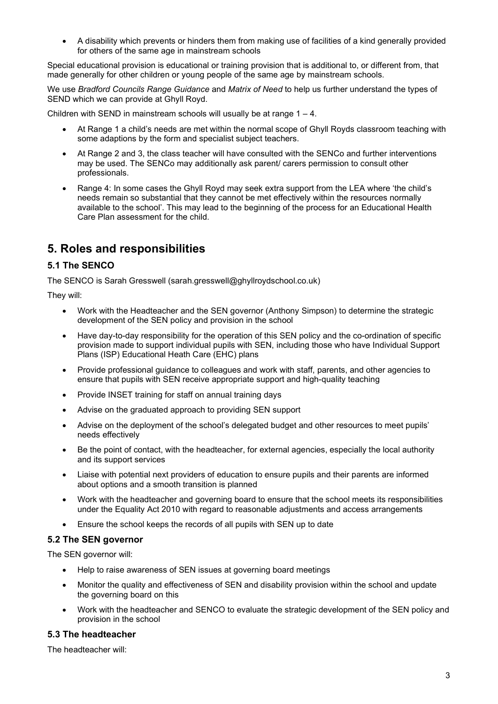A disability which prevents or hinders them from making use of facilities of a kind generally provided for others of the same age in mainstream schools

Special educational provision is educational or training provision that is additional to, or different from, that made generally for other children or young people of the same age by mainstream schools.

We use Bradford Councils Range Guidance and Matrix of Need to help us further understand the types of SEND which we can provide at Ghyll Royd.

Children with SEND in mainstream schools will usually be at range  $1 - 4$ .

- At Range 1 a child's needs are met within the normal scope of Ghyll Royds classroom teaching with some adaptions by the form and specialist subject teachers.
- At Range 2 and 3, the class teacher will have consulted with the SENCo and further interventions may be used. The SENCo may additionally ask parent/ carers permission to consult other professionals.
- Range 4: In some cases the Ghyll Royd may seek extra support from the LEA where 'the child's needs remain so substantial that they cannot be met effectively within the resources normally available to the school'. This may lead to the beginning of the process for an Educational Health Care Plan assessment for the child.

# 5. Roles and responsibilities

## 5.1 The SENCO

The SENCO is Sarah Gresswell (sarah.gresswell@ghyllroydschool.co.uk)

They will:

- Work with the Headteacher and the SEN governor (Anthony Simpson) to determine the strategic development of the SEN policy and provision in the school
- Have day-to-day responsibility for the operation of this SEN policy and the co-ordination of specific provision made to support individual pupils with SEN, including those who have Individual Support Plans (ISP) Educational Heath Care (EHC) plans
- Provide professional guidance to colleagues and work with staff, parents, and other agencies to ensure that pupils with SEN receive appropriate support and high-quality teaching
- Provide INSET training for staff on annual training days
- Advise on the graduated approach to providing SEN support
- Advise on the deployment of the school's delegated budget and other resources to meet pupils' needs effectively
- Be the point of contact, with the headteacher, for external agencies, especially the local authority and its support services
- Liaise with potential next providers of education to ensure pupils and their parents are informed about options and a smooth transition is planned
- Work with the headteacher and governing board to ensure that the school meets its responsibilities under the Equality Act 2010 with regard to reasonable adjustments and access arrangements
- Ensure the school keeps the records of all pupils with SEN up to date

### 5.2 The SEN governor

The SEN governor will:

- Help to raise awareness of SEN issues at governing board meetings
- Monitor the quality and effectiveness of SEN and disability provision within the school and update the governing board on this
- Work with the headteacher and SENCO to evaluate the strategic development of the SEN policy and provision in the school

### 5.3 The headteacher

The headteacher will: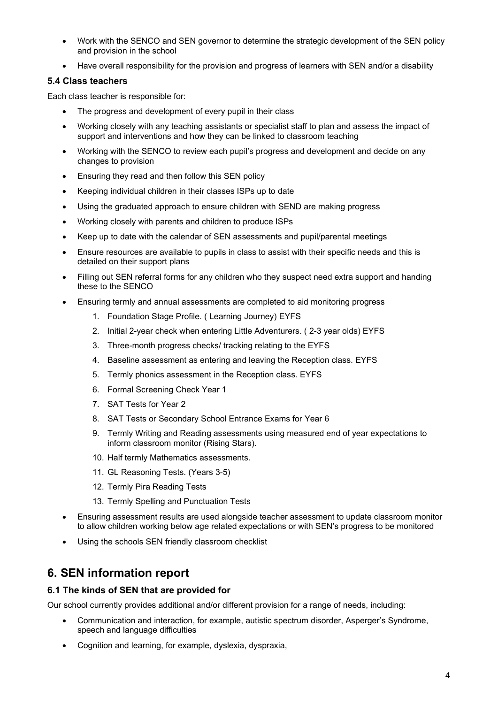- Work with the SENCO and SEN governor to determine the strategic development of the SEN policy and provision in the school
- Have overall responsibility for the provision and progress of learners with SEN and/or a disability

### 5.4 Class teachers

Each class teacher is responsible for:

- The progress and development of every pupil in their class
- Working closely with any teaching assistants or specialist staff to plan and assess the impact of support and interventions and how they can be linked to classroom teaching
- Working with the SENCO to review each pupil's progress and development and decide on any changes to provision
- Ensuring they read and then follow this SEN policy
- Keeping individual children in their classes ISPs up to date
- Using the graduated approach to ensure children with SEND are making progress
- Working closely with parents and children to produce ISPs
- Keep up to date with the calendar of SEN assessments and pupil/parental meetings
- Ensure resources are available to pupils in class to assist with their specific needs and this is detailed on their support plans
- Filling out SEN referral forms for any children who they suspect need extra support and handing these to the SENCO
- Ensuring termly and annual assessments are completed to aid monitoring progress
	- 1. Foundation Stage Profile. ( Learning Journey) EYFS
	- 2. Initial 2-year check when entering Little Adventurers. ( 2-3 year olds) EYFS
	- 3. Three-month progress checks/ tracking relating to the EYFS
	- 4. Baseline assessment as entering and leaving the Reception class. EYFS
	- 5. Termly phonics assessment in the Reception class. EYFS
	- 6. Formal Screening Check Year 1
	- 7. SAT Tests for Year 2
	- 8. SAT Tests or Secondary School Entrance Exams for Year 6
	- 9. Termly Writing and Reading assessments using measured end of year expectations to inform classroom monitor (Rising Stars).
	- 10. Half termly Mathematics assessments.
	- 11. GL Reasoning Tests. (Years 3-5)
	- 12. Termly Pira Reading Tests
	- 13. Termly Spelling and Punctuation Tests
- Ensuring assessment results are used alongside teacher assessment to update classroom monitor to allow children working below age related expectations or with SEN's progress to be monitored
- Using the schools SEN friendly classroom checklist

# 6. SEN information report

## 6.1 The kinds of SEN that are provided for

Our school currently provides additional and/or different provision for a range of needs, including:

- Communication and interaction, for example, autistic spectrum disorder, Asperger's Syndrome, speech and language difficulties
- Cognition and learning, for example, dyslexia, dyspraxia,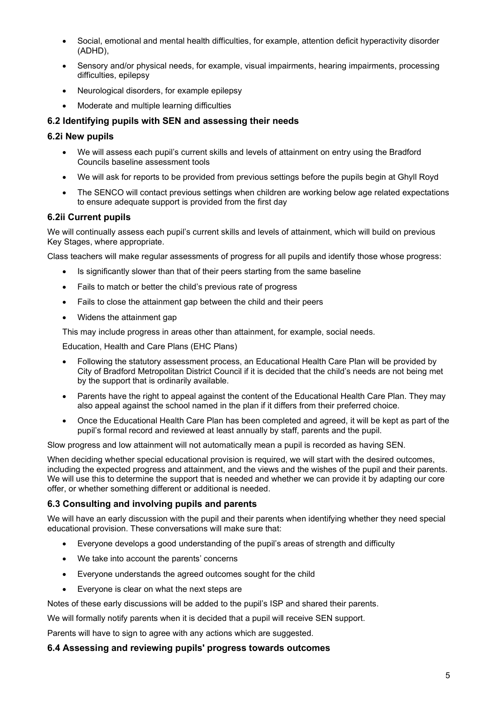- Social, emotional and mental health difficulties, for example, attention deficit hyperactivity disorder (ADHD),
- Sensory and/or physical needs, for example, visual impairments, hearing impairments, processing difficulties, epilepsy
- Neurological disorders, for example epilepsy
- Moderate and multiple learning difficulties

### 6.2 Identifying pupils with SEN and assessing their needs

#### 6.2i New pupils

- We will assess each pupil's current skills and levels of attainment on entry using the Bradford Councils baseline assessment tools
- We will ask for reports to be provided from previous settings before the pupils begin at Ghyll Royd
- The SENCO will contact previous settings when children are working below age related expectations to ensure adequate support is provided from the first day

#### 6.2ii Current pupils

We will continually assess each pupil's current skills and levels of attainment, which will build on previous Key Stages, where appropriate.

Class teachers will make regular assessments of progress for all pupils and identify those whose progress:

- Is significantly slower than that of their peers starting from the same baseline
- Fails to match or better the child's previous rate of progress
- Fails to close the attainment gap between the child and their peers
- Widens the attainment gap

This may include progress in areas other than attainment, for example, social needs.

Education, Health and Care Plans (EHC Plans)

- Following the statutory assessment process, an Educational Health Care Plan will be provided by City of Bradford Metropolitan District Council if it is decided that the child's needs are not being met by the support that is ordinarily available.
- Parents have the right to appeal against the content of the Educational Health Care Plan. They may also appeal against the school named in the plan if it differs from their preferred choice.
- Once the Educational Health Care Plan has been completed and agreed, it will be kept as part of the pupil's formal record and reviewed at least annually by staff, parents and the pupil.

Slow progress and low attainment will not automatically mean a pupil is recorded as having SEN.

When deciding whether special educational provision is required, we will start with the desired outcomes, including the expected progress and attainment, and the views and the wishes of the pupil and their parents. We will use this to determine the support that is needed and whether we can provide it by adapting our core offer, or whether something different or additional is needed.

### 6.3 Consulting and involving pupils and parents

We will have an early discussion with the pupil and their parents when identifying whether they need special educational provision. These conversations will make sure that:

- Everyone develops a good understanding of the pupil's areas of strength and difficulty
- We take into account the parents' concerns
- Everyone understands the agreed outcomes sought for the child
- Everyone is clear on what the next steps are

Notes of these early discussions will be added to the pupil's ISP and shared their parents.

We will formally notify parents when it is decided that a pupil will receive SEN support.

Parents will have to sign to agree with any actions which are suggested.

#### 6.4 Assessing and reviewing pupils' progress towards outcomes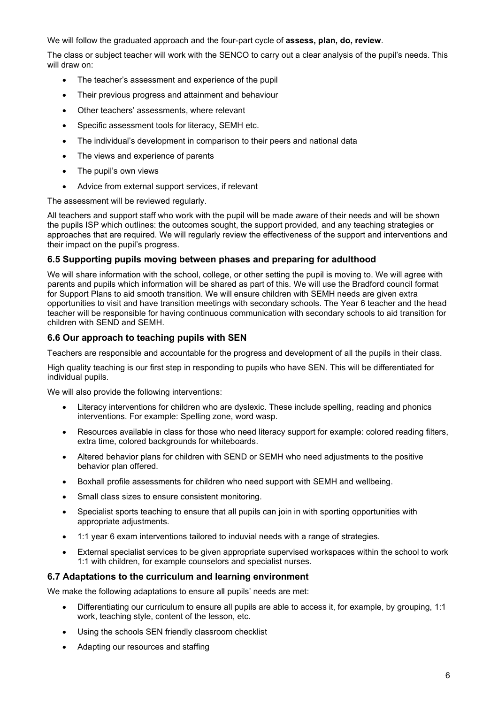We will follow the graduated approach and the four-part cycle of **assess, plan, do, review.** 

The class or subject teacher will work with the SENCO to carry out a clear analysis of the pupil's needs. This will draw on:

- The teacher's assessment and experience of the pupil
- Their previous progress and attainment and behaviour
- Other teachers' assessments, where relevant
- Specific assessment tools for literacy, SEMH etc.
- The individual's development in comparison to their peers and national data
- The views and experience of parents
- The pupil's own views
- Advice from external support services, if relevant

The assessment will be reviewed regularly.

All teachers and support staff who work with the pupil will be made aware of their needs and will be shown the pupils ISP which outlines: the outcomes sought, the support provided, and any teaching strategies or approaches that are required. We will regularly review the effectiveness of the support and interventions and their impact on the pupil's progress.

### 6.5 Supporting pupils moving between phases and preparing for adulthood

We will share information with the school, college, or other setting the pupil is moving to. We will agree with parents and pupils which information will be shared as part of this. We will use the Bradford council format for Support Plans to aid smooth transition. We will ensure children with SEMH needs are given extra opportunities to visit and have transition meetings with secondary schools. The Year 6 teacher and the head teacher will be responsible for having continuous communication with secondary schools to aid transition for children with SEND and SEMH.

### 6.6 Our approach to teaching pupils with SEN

Teachers are responsible and accountable for the progress and development of all the pupils in their class.

High quality teaching is our first step in responding to pupils who have SEN. This will be differentiated for individual pupils.

We will also provide the following interventions:

- Literacy interventions for children who are dyslexic. These include spelling, reading and phonics interventions. For example: Spelling zone, word wasp.
- Resources available in class for those who need literacy support for example: colored reading filters, extra time, colored backgrounds for whiteboards.
- Altered behavior plans for children with SEND or SEMH who need adjustments to the positive behavior plan offered.
- Boxhall profile assessments for children who need support with SEMH and wellbeing.
- Small class sizes to ensure consistent monitoring.
- Specialist sports teaching to ensure that all pupils can join in with sporting opportunities with appropriate adjustments.
- 1:1 year 6 exam interventions tailored to induvial needs with a range of strategies.
- External specialist services to be given appropriate supervised workspaces within the school to work 1:1 with children, for example counselors and specialist nurses.

### 6.7 Adaptations to the curriculum and learning environment

We make the following adaptations to ensure all pupils' needs are met:

- Differentiating our curriculum to ensure all pupils are able to access it, for example, by grouping, 1:1 work, teaching style, content of the lesson, etc.
- Using the schools SEN friendly classroom checklist
- Adapting our resources and staffing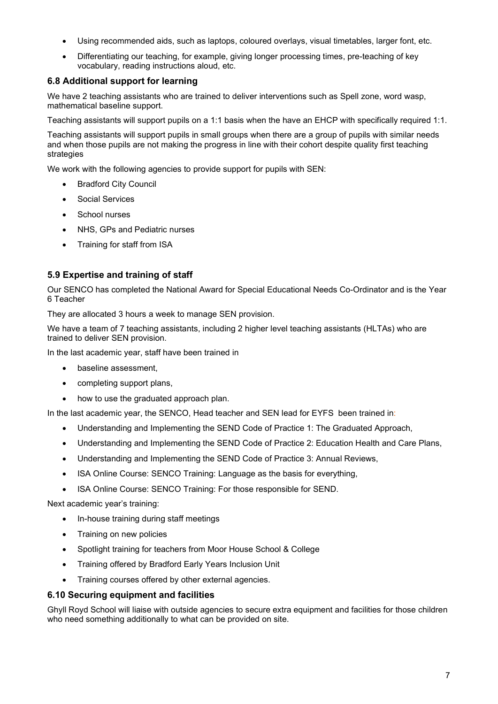- Using recommended aids, such as laptops, coloured overlays, visual timetables, larger font, etc.
- Differentiating our teaching, for example, giving longer processing times, pre-teaching of key vocabulary, reading instructions aloud, etc.

## 6.8 Additional support for learning

We have 2 teaching assistants who are trained to deliver interventions such as Spell zone, word wasp, mathematical baseline support.

Teaching assistants will support pupils on a 1:1 basis when the have an EHCP with specifically required 1:1.

Teaching assistants will support pupils in small groups when there are a group of pupils with similar needs and when those pupils are not making the progress in line with their cohort despite quality first teaching strategies

We work with the following agencies to provide support for pupils with SEN:

- Bradford City Council
- Social Services
- School nurses
- NHS, GPs and Pediatric nurses
- Training for staff from ISA

### 5.9 Expertise and training of staff

Our SENCO has completed the National Award for Special Educational Needs Co-Ordinator and is the Year 6 Teacher

They are allocated 3 hours a week to manage SEN provision.

We have a team of 7 teaching assistants, including 2 higher level teaching assistants (HLTAs) who are trained to deliver SEN provision.

In the last academic year, staff have been trained in

- baseline assessment,
- completing support plans,
- how to use the graduated approach plan.

In the last academic year, the SENCO, Head teacher and SEN lead for EYFS been trained in:

- Understanding and Implementing the SEND Code of Practice 1: The Graduated Approach,
- Understanding and Implementing the SEND Code of Practice 2: Education Health and Care Plans,
- Understanding and Implementing the SEND Code of Practice 3: Annual Reviews,
- ISA Online Course: SENCO Training: Language as the basis for everything.
- ISA Online Course: SENCO Training: For those responsible for SEND.

Next academic year's training:

- In-house training during staff meetings
- Training on new policies
- Spotlight training for teachers from Moor House School & College
- Training offered by Bradford Early Years Inclusion Unit
- Training courses offered by other external agencies.

### 6.10 Securing equipment and facilities

Ghyll Royd School will liaise with outside agencies to secure extra equipment and facilities for those children who need something additionally to what can be provided on site.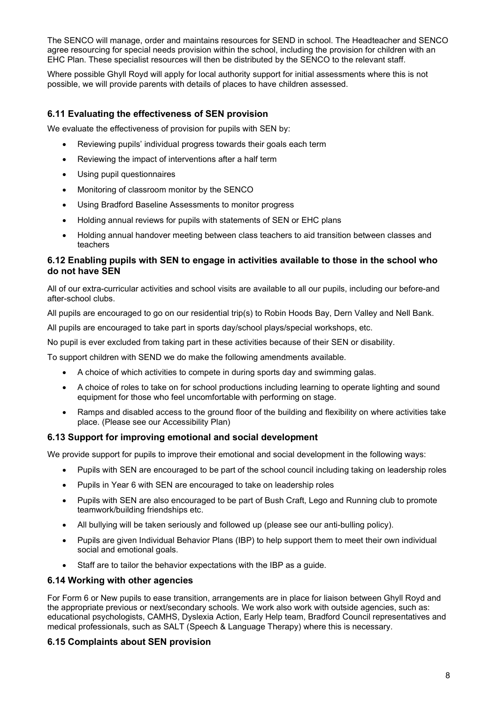The SENCO will manage, order and maintains resources for SEND in school. The Headteacher and SENCO agree resourcing for special needs provision within the school, including the provision for children with an EHC Plan. These specialist resources will then be distributed by the SENCO to the relevant staff.

Where possible Ghyll Royd will apply for local authority support for initial assessments where this is not possible, we will provide parents with details of places to have children assessed.

### 6.11 Evaluating the effectiveness of SEN provision

We evaluate the effectiveness of provision for pupils with SEN by:

- Reviewing pupils' individual progress towards their goals each term
- Reviewing the impact of interventions after a half term
- Using pupil questionnaires
- Monitoring of classroom monitor by the SENCO
- Using Bradford Baseline Assessments to monitor progress
- Holding annual reviews for pupils with statements of SEN or EHC plans
- Holding annual handover meeting between class teachers to aid transition between classes and teachers

### 6.12 Enabling pupils with SEN to engage in activities available to those in the school who do not have SEN

All of our extra-curricular activities and school visits are available to all our pupils, including our before-and after-school clubs.

All pupils are encouraged to go on our residential trip(s) to Robin Hoods Bay, Dern Valley and Nell Bank.

All pupils are encouraged to take part in sports day/school plays/special workshops, etc.

No pupil is ever excluded from taking part in these activities because of their SEN or disability.

To support children with SEND we do make the following amendments available.

- A choice of which activities to compete in during sports day and swimming galas.
- A choice of roles to take on for school productions including learning to operate lighting and sound equipment for those who feel uncomfortable with performing on stage.
- Ramps and disabled access to the ground floor of the building and flexibility on where activities take place. (Please see our Accessibility Plan)

#### 6.13 Support for improving emotional and social development

We provide support for pupils to improve their emotional and social development in the following ways:

- Pupils with SEN are encouraged to be part of the school council including taking on leadership roles
- Pupils in Year 6 with SEN are encouraged to take on leadership roles
- Pupils with SEN are also encouraged to be part of Bush Craft, Lego and Running club to promote teamwork/building friendships etc.
- All bullying will be taken seriously and followed up (please see our anti-bulling policy).
- Pupils are given Individual Behavior Plans (IBP) to help support them to meet their own individual social and emotional goals.
- Staff are to tailor the behavior expectations with the IBP as a guide.

#### 6.14 Working with other agencies

For Form 6 or New pupils to ease transition, arrangements are in place for liaison between Ghyll Royd and the appropriate previous or next/secondary schools. We work also work with outside agencies, such as: educational psychologists, CAMHS, Dyslexia Action, Early Help team, Bradford Council representatives and medical professionals, such as SALT (Speech & Language Therapy) where this is necessary.

### 6.15 Complaints about SEN provision